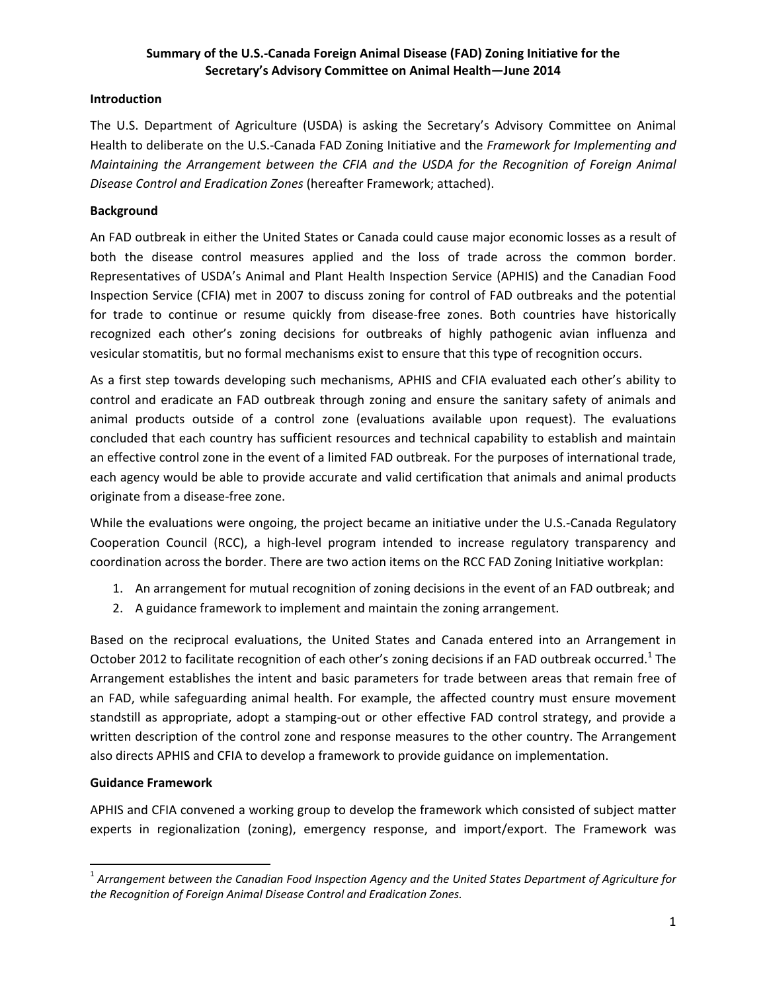# **Summary of the U.S.‐Canada Foreign Animal Disease (FAD) Zoning Initiative for the Secretary's Advisory Committee on Animal Health—June 2014**

### **Introduction**

The U.S. Department of Agriculture (USDA) is asking the Secretary's Advisory Committee on Animal Health to deliberate on the U.S.‐Canada FAD Zoning Initiative and the *Framework for Implementing and Maintaining the Arrangement between the CFIA and the USDA for the Recognition of Foreign Animal Disease Control and Eradication Zones* (hereafter Framework; attached).

## **Background**

An FAD outbreak in either the United States or Canada could cause major economic losses as a result of both the disease control measures applied and the loss of trade across the common border. Representatives of USDA's Animal and Plant Health Inspection Service (APHIS) and the Canadian Food Inspection Service (CFIA) met in 2007 to discuss zoning for control of FAD outbreaks and the potential for trade to continue or resume quickly from disease-free zones. Both countries have historically recognized each other's zoning decisions for outbreaks of highly pathogenic avian influenza and vesicular stomatitis, but no formal mechanisms exist to ensure that this type of recognition occurs.

As a first step towards developing such mechanisms, APHIS and CFIA evaluated each other's ability to control and eradicate an FAD outbreak through zoning and ensure the sanitary safety of animals and animal products outside of a control zone (evaluations available upon request). The evaluations concluded that each country has sufficient resources and technical capability to establish and maintain an effective control zone in the event of a limited FAD outbreak. For the purposes of international trade, each agency would be able to provide accurate and valid certification that animals and animal products originate from a disease‐free zone.

While the evaluations were ongoing, the project became an initiative under the U.S.‐Canada Regulatory Cooperation Council (RCC), a high‐level program intended to increase regulatory transparency and coordination across the border. There are two action items on the RCC FAD Zoning Initiative workplan:

- 1. An arrangement for mutual recognition of zoning decisions in the event of an FAD outbreak; and
- 2. A guidance framework to implement and maintain the zoning arrangement.

Based on the reciprocal evaluations, the United States and Canada entered into an Arrangement in October 2012 to facilitate recognition of each other's zoning decisions if an FAD outbreak occurred.<sup>1</sup> The Arrangement establishes the intent and basic parameters for trade between areas that remain free of an FAD, while safeguarding animal health. For example, the affected country must ensure movement standstill as appropriate, adopt a stamping‐out or other effective FAD control strategy, and provide a written description of the control zone and response measures to the other country. The Arrangement also directs APHIS and CFIA to develop a framework to provide guidance on implementation.

# **Guidance Framework**

APHIS and CFIA convened a working group to develop the framework which consisted of subject matter experts in regionalization (zoning), emergency response, and import/export. The Framework was

<sup>1</sup> *Arrangement between the Canadian Food Inspection Agency and the United States Department of Agriculture for the Recognition of Foreign Animal Disease Control and Eradication Zones.*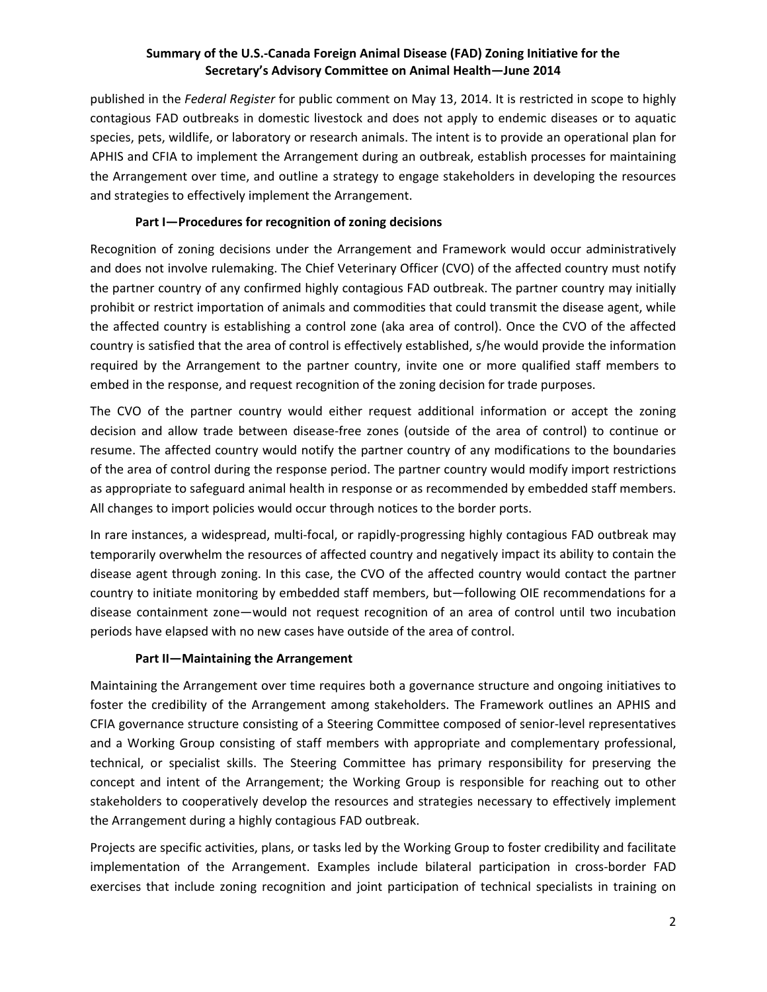# **Summary of the U.S.‐Canada Foreign Animal Disease (FAD) Zoning Initiative for the Secretary's Advisory Committee on Animal Health—June 2014**

published in the *Federal Register* for public comment on May 13, 2014. It is restricted in scope to highly contagious FAD outbreaks in domestic livestock and does not apply to endemic diseases or to aquatic species, pets, wildlife, or laboratory or research animals. The intent is to provide an operational plan for APHIS and CFIA to implement the Arrangement during an outbreak, establish processes for maintaining the Arrangement over time, and outline a strategy to engage stakeholders in developing the resources and strategies to effectively implement the Arrangement.

### **Part I—Procedures for recognition of zoning decisions**

Recognition of zoning decisions under the Arrangement and Framework would occur administratively and does not involve rulemaking. The Chief Veterinary Officer (CVO) of the affected country must notify the partner country of any confirmed highly contagious FAD outbreak. The partner country may initially prohibit or restrict importation of animals and commodities that could transmit the disease agent, while the affected country is establishing a control zone (aka area of control). Once the CVO of the affected country is satisfied that the area of control is effectively established, s/he would provide the information required by the Arrangement to the partner country, invite one or more qualified staff members to embed in the response, and request recognition of the zoning decision for trade purposes.

The CVO of the partner country would either request additional information or accept the zoning decision and allow trade between disease‐free zones (outside of the area of control) to continue or resume. The affected country would notify the partner country of any modifications to the boundaries of the area of control during the response period. The partner country would modify import restrictions as appropriate to safeguard animal health in response or as recommended by embedded staff members. All changes to import policies would occur through notices to the border ports.

In rare instances, a widespread, multi‐focal, or rapidly‐progressing highly contagious FAD outbreak may temporarily overwhelm the resources of affected country and negatively impact its ability to contain the disease agent through zoning. In this case, the CVO of the affected country would contact the partner country to initiate monitoring by embedded staff members, but—following OIE recommendations for a disease containment zone—would not request recognition of an area of control until two incubation periods have elapsed with no new cases have outside of the area of control.

# **Part II—Maintaining the Arrangement**

Maintaining the Arrangement over time requires both a governance structure and ongoing initiatives to foster the credibility of the Arrangement among stakeholders. The Framework outlines an APHIS and CFIA governance structure consisting of a Steering Committee composed of senior‐level representatives and a Working Group consisting of staff members with appropriate and complementary professional, technical, or specialist skills. The Steering Committee has primary responsibility for preserving the concept and intent of the Arrangement; the Working Group is responsible for reaching out to other stakeholders to cooperatively develop the resources and strategies necessary to effectively implement the Arrangement during a highly contagious FAD outbreak.

Projects are specific activities, plans, or tasks led by the Working Group to foster credibility and facilitate implementation of the Arrangement. Examples include bilateral participation in cross-border FAD exercises that include zoning recognition and joint participation of technical specialists in training on